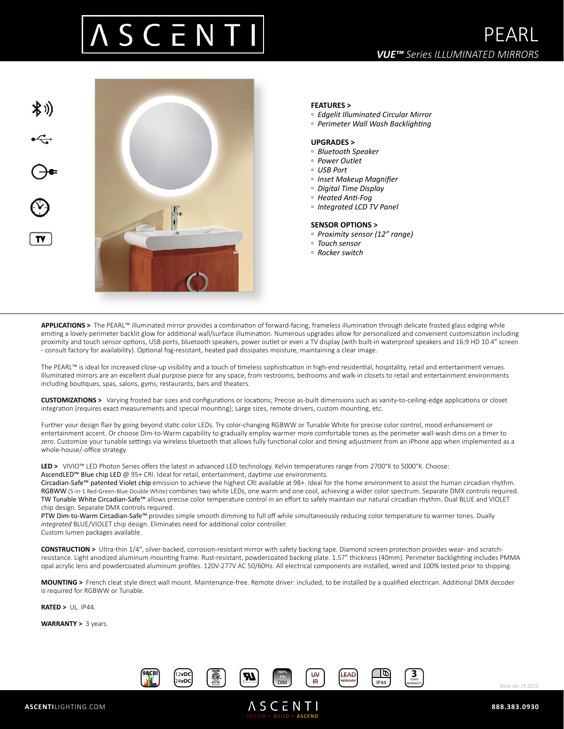# S C E N



### **FEATURES >**

- *Edgelit Illuminated Circular Mirror*
- *Perimeter Wall Wash Backlighting*

#### **UPGRADES >**

- *Bluetooth Speaker*
- *Power Outlet*
- *USB Port*
- *Inset Makeup Magnifier*
- *Digital Time Display*
- *Heated Anti-Fog*
- *Integrated LCD TV Panel*

#### **SENSOR OPTIONS >**

- *Proximity sensor (12" range)*
- *Touch sensor*
- *Rocker switch*

**APPLICATIONS >** The PEARL™ illuminated mirror provides a combination of forward-facing, frameless illumination through delicate frosted glass edging while emiting a lovely perimeter backlit glow for additional wall/surface illumination. Numerous upgrades allow for personalized and convenient customization including proximity and touch sensor options, USB ports, bluetooth speakers, power outlet or even a TV display (with built-in waterproof speakers and 16:9 HD 10.4" screen - consult factory for availability). Optional fog-resistant, heated pad dissipates moisture, maintaining a clear image.

The PEARL™ is ideal for increased close-up visibility and a touch of timeless sophistication in high-end residential, hospitality, retail and entertainment venues. Illuminated mirrors are an excellent dual purpose piece for any space, from restrooms, bedrooms and walk-in closets to retail and entertainment environments including boutiques, spas, salons, gyms, restaurants, bars and theaters.

**CUSTOMIZATIONS >** Varying frosted bar sizes and configurations or locations; Precise as-built dimensions such as vanity-to-ceiling-edge applications or closet integration (requires exact measurements and special mounting); Large sizes, remote drivers, custom mounting, etc.

Further your design flair by going beyond static color LEDs. Try color-changing RGBWW or Tunable White for precise color control, mood enhancement or entertainment accent. Or choose Dim-to-Warm capability to gradually employ warmer more comfortable tones as the perimeter wall-wash dims on a timer to zero. Customize your tunable settings via wireless bluetooth that allows fully functional color and timing adjustment from an iPhone app when implemented as a whole-house/-office strategy.

**LED >** VIVIO™ LED Photon Series offers the latest in advanced LED technology. Kelvin temperatures range from 2700°K to 5000°K. Choose: AscendLED™ Blue chip LED @ 95+ CRI. Ideal for retail, entertainment, daytime use environments.

Circadian-Safe™ patented Violet chip emission to achieve the highest CRI available at 98+. Ideal for the home environment to assist the human circadian rhythm. RGBWW (5-in-1 Red-Green-Blue-Double White) combines two white LEDs, one warm and one cool, achieving a wider color spectrum. Separate DMX controls required. TW Tunable White Circadian-Safe™ allows precise color temperature control in an effort to safely maintain our natural circadian rhythm. Dual BLUE and VIOLET chip design. Separate DMX controls required.

PTW Dim-to-Warm Circadian-Safe™ provides simple smooth dimming to full off while simultaneously reducing color temperature to warmer tones. Dually *integrated* BLUE/VIOLET chip design. Eliminates need for additional color controller. Custom lumen packages available.

**CONSTRUCTION >** Ultra-thin 1/4", silver-backed, corrosion-resistant mirror with safety backing tape. Diamond screen protection provides wear- and scratchresistance. Light anodized aluminum mounting frame. Rust-resistant, powdercoated backing plate. 1.57" thickness (40mm). Perimeter backlighting includes PMMA opal acrylic lens and powdercoated aluminum profiles. 120V-277V AC 50/60Hz. All electrical components are installed, wired and 100% tested prior to shipping.

**MOUNTING >** French cleat style direct wall mount. Maintenance-free. Remote driver: included, to be installed by a qualified electrican. Additional DMX decoder is required for RGBWW or Tunable.

**RATED >** UL. IP44.

**WARRANTY >** 3 years.



DESIGN > BUILD > **ASCEND**

**ASCENTI** 



Mod.Jan.19.2022